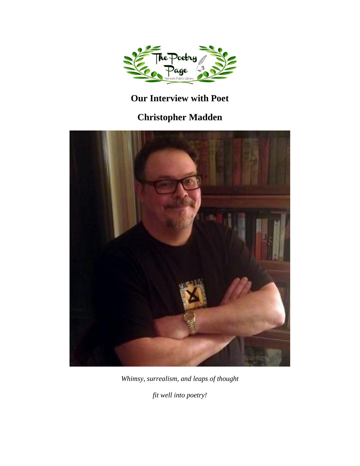

## **Our Interview with Poet**

# **Christopher Madden**



*Whimsy, surrealism, and leaps of thought*

*fit well into poetry!*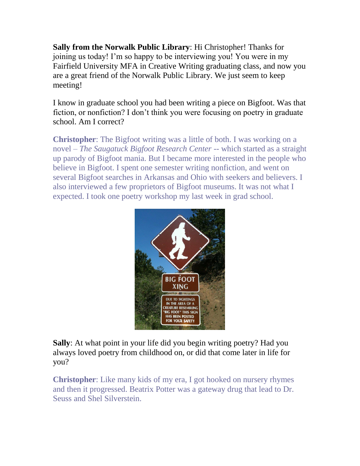**Sally from the Norwalk Public Library**: Hi Christopher! Thanks for joining us today! I'm so happy to be interviewing you! You were in my Fairfield University MFA in Creative Writing graduating class, and now you are a great friend of the Norwalk Public Library. We just seem to keep meeting!

I know in graduate school you had been writing a piece on Bigfoot. Was that fiction, or nonfiction? I don't think you were focusing on poetry in graduate school. Am I correct?

**Christopher**: The Bigfoot writing was a little of both. I was working on a novel – *The Saugatuck Bigfoot Research Center* -- which started as a straight up parody of Bigfoot mania. But I became more interested in the people who believe in Bigfoot. I spent one semester writing nonfiction, and went on several Bigfoot searches in Arkansas and Ohio with seekers and believers. I also interviewed a few proprietors of Bigfoot museums. It was not what I expected. I took one poetry workshop my last week in grad school.



**Sally**: At what point in your life did you begin writing poetry? Had you always loved poetry from childhood on, or did that come later in life for you?

**Christopher**: Like many kids of my era, I got hooked on nursery rhymes and then it progressed. Beatrix Potter was a gateway drug that lead to Dr. Seuss and Shel Silverstein.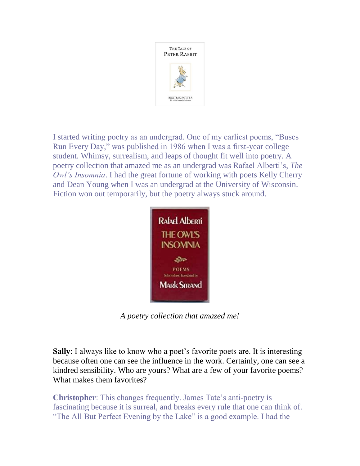

I started writing poetry as an undergrad. One of my earliest poems, "Buses Run Every Day," was published in 1986 when I was a first-year college student. Whimsy, surrealism, and leaps of thought fit well into poetry. A poetry collection that amazed me as an undergrad was Rafael Alberti's, *The Owl's Insomnia*. I had the great fortune of working with poets Kelly Cherry and Dean Young when I was an undergrad at the University of Wisconsin. Fiction won out temporarily, but the poetry always stuck around.



*A poetry collection that amazed me!*

**Sally**: I always like to know who a poet's favorite poets are. It is interesting because often one can see the influence in the work. Certainly, one can see a kindred sensibility. Who are yours? What are a few of your favorite poems? What makes them favorites?

**Christopher**: This changes frequently. James Tate's anti-poetry is fascinating because it is surreal, and breaks every rule that one can think of. "The All But Perfect Evening by the Lake" is a good example. I had the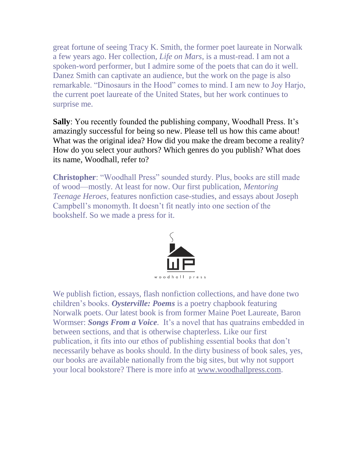great fortune of seeing Tracy K. Smith, the former poet laureate in Norwalk a few years ago. Her collection, *Life on Mars*, is a must-read. I am not a spoken-word performer, but I admire some of the poets that can do it well. Danez Smith can captivate an audience, but the work on the page is also remarkable. "Dinosaurs in the Hood" comes to mind. I am new to Joy Harjo, the current poet laureate of the United States, but her work continues to surprise me.

**Sally**: You recently founded the publishing company, Woodhall Press. It's amazingly successful for being so new. Please tell us how this came about! What was the original idea? How did you make the dream become a reality? How do you select your authors? Which genres do you publish? What does its name, Woodhall, refer to?

**Christopher**: "Woodhall Press" sounded sturdy. Plus, books are still made of wood—mostly. At least for now. Our first publication, *Mentoring Teenage Heroes*, features nonfiction case-studies, and essays about Joseph Campbell's monomyth. It doesn't fit neatly into one section of the bookshelf. So we made a press for it.



We publish fiction, essays, flash nonfiction collections, and have done two children's books. *Oysterville: Poems* is a poetry chapbook featuring Norwalk poets. Our latest book is from former Maine Poet Laureate, Baron Wormser: *Songs From a Voice.* It's a novel that has quatrains embedded in between sections, and that is otherwise chapterless. Like our first publication, it fits into our ethos of publishing essential books that don't necessarily behave as books should. In the dirty business of book sales, yes, our books are available nationally from the big sites, but why not support your local bookstore? There is more info at [www.woodhallpress.com.](http://www.woodhallpress.com/)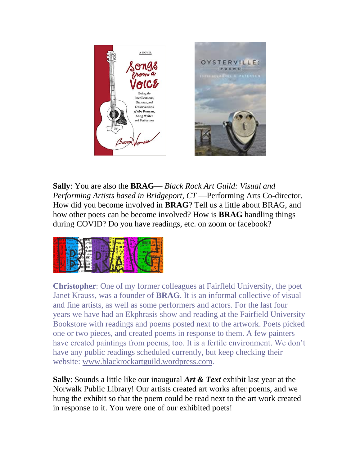

**Sally**: You are also the **BRAG**— *Black Rock Art Guild: Visual and Performing Artists based in Bridgeport, CT* —Performing Arts Co-director. How did you become involved in **BRAG**? Tell us a little about BRAG, and how other poets can be become involved? How is **BRAG** handling things during COVID? Do you have readings, etc. on zoom or facebook?



**Christopher**: One of my former colleagues at Fairfleld University, the poet Janet Krauss, was a founder of **BRAG**. It is an informal collective of visual and fine artists, as well as some performers and actors. For the last four years we have had an Ekphrasis show and reading at the Fairfield University Bookstore with readings and poems posted next to the artwork. Poets picked one or two pieces, and created poems in response to them. A few painters have created paintings from poems, too. It is a fertile environment. We don't have any public readings scheduled currently, but keep checking their website: [www.blackrockartguild.wordpress.com.](http://www.blackrockartguild.wordpress.com/)

**Sally**: Sounds a little like our inaugural *Art & Text* exhibit last year at the Norwalk Public Library! Our artists created art works after poems, and we hung the exhibit so that the poem could be read next to the art work created in response to it. You were one of our exhibited poets!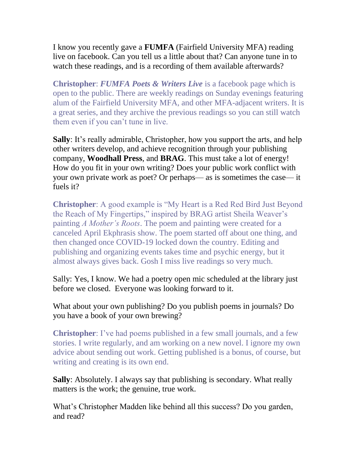I know you recently gave a **FUMFA** (Fairfield University MFA) reading live on facebook. Can you tell us a little about that? Can anyone tune in to watch these readings, and is a recording of them available afterwards?

**Christopher**: *FUMFA Poets & Writers Live* is a facebook page which is open to the public. There are weekly readings on Sunday evenings featuring alum of the Fairfield University MFA, and other MFA-adjacent writers. It is a great series, and they archive the previous readings so you can still watch them even if you can't tune in live.

**Sally**: It's really admirable, Christopher, how you support the arts, and help other writers develop, and achieve recognition through your publishing company, **Woodhall Press**, and **BRAG**. This must take a lot of energy! How do you fit in your own writing? Does your public work conflict with your own private work as poet? Or perhaps— as is sometimes the case— it fuels it?

**Christopher**: A good example is "My Heart is a Red Red Bird Just Beyond the Reach of My Fingertips," inspired by BRAG artist Sheila Weaver's painting *A Mother's Roots*. The poem and painting were created for a canceled April Ekphrasis show. The poem started off about one thing, and then changed once COVID-19 locked down the country. Editing and publishing and organizing events takes time and psychic energy, but it almost always gives back. Gosh I miss live readings so very much.

Sally: Yes, I know. We had a poetry open mic scheduled at the library just before we closed. Everyone was looking forward to it.

What about your own publishing? Do you publish poems in journals? Do you have a book of your own brewing?

**Christopher**: I've had poems published in a few small journals, and a few stories. I write regularly, and am working on a new novel. I ignore my own advice about sending out work. Getting published is a bonus, of course, but writing and creating is its own end.

**Sally**: Absolutely. I always say that publishing is secondary. What really matters is the work; the genuine, true work.

What's Christopher Madden like behind all this success? Do you garden, and read?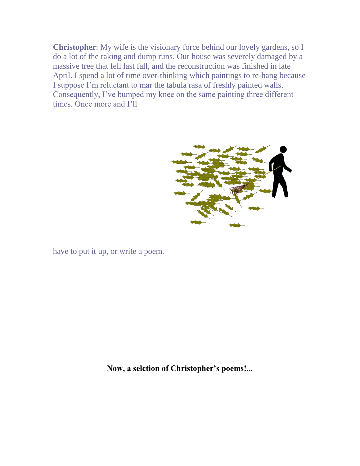**Christopher**: My wife is the visionary force behind our lovely gardens, so I do a lot of the raking and dump runs. Our house was severely damaged by a massive tree that fell last fall, and the reconstruction was finished in late April. I spend a lot of time over-thinking which paintings to re-hang because I suppose I'm reluctant to mar the tabula rasa of freshly painted walls. Consequently, I've bumped my knee on the same painting three different times. Once more and I'll



have to put it up, or write a poem.

**Now, a selction of Christopher's poems!...**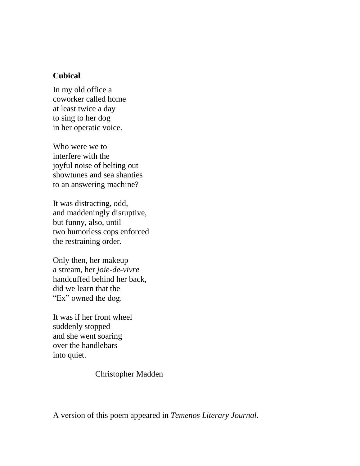### **Cubical**

In my old office a coworker called home at least twice a day to sing to her dog in her operatic voice.

Who were we to interfere with the joyful noise of belting out showtunes and sea shanties to an answering machine?

It was distracting, odd, and maddeningly disruptive, but funny, also, until two humorless cops enforced the restraining order.

Only then, her makeup a stream, her *joie-de-vivre* handcuffed behind her back, did we learn that the "Ex" owned the dog.

It was if her front wheel suddenly stopped and she went soaring over the handlebars into quiet.

Christopher Madden

A version of this poem appeared in *Temenos Literary Journal*.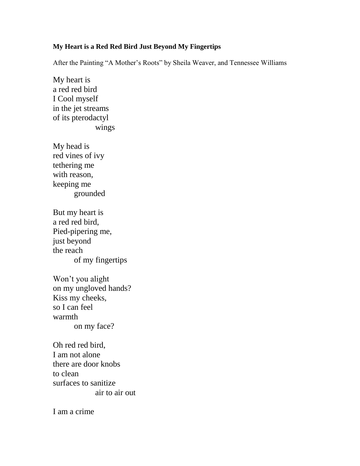### **My Heart is a Red Red Bird Just Beyond My Fingertips**

After the Painting "A Mother's Roots" by Sheila Weaver, and Tennessee Williams

My heart is a red red bird I Cool myself in the jet streams of its pterodactyl wings

My head is red vines of ivy tethering me with reason, keeping me grounded

But my heart is a red red bird, Pied-pipering me, just beyond the reach of my fingertips

Won't you alight on my ungloved hands? Kiss my cheeks, so I can feel warmth on my face?

Oh red red bird, I am not alone there are door knobs to clean surfaces to sanitize air to air out

I am a crime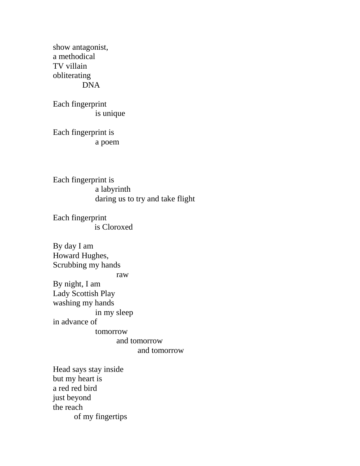show antagonist, a methodical TV villain obliterating DNA

Each fingerprint is unique

Each fingerprint is a poem

Each fingerprint is a labyrinth daring us to try and take flight

Each fingerprint is Cloroxed

By day I am Howard Hughes, Scrubbing my hands raw By night, I am Lady Scottish Play washing my hands in my sleep in advance of tomorrow and tomorrow and tomorrow

Head says stay inside but my heart is a red red bird just beyond the reach of my fingertips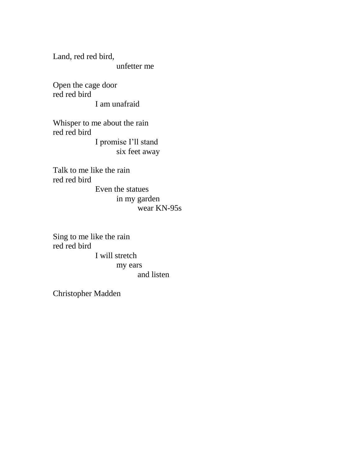Land, red red bird, unfetter me

Open the cage door red red bird I am unafraid

Whisper to me about the rain red red bird I promise I'll stand six feet away

Talk to me like the rain red red bird

Even the statues in my garden wear KN-95s

Sing to me like the rain red red bird I will stretch my ears and listen

Christopher Madden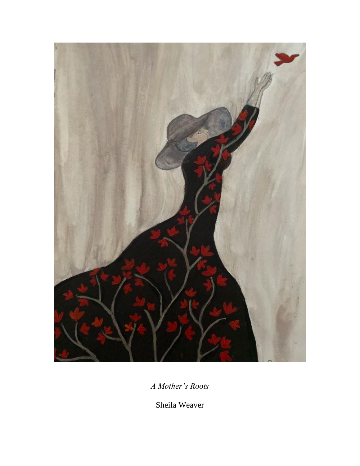

*A Mother's Roots*

Sheila Weaver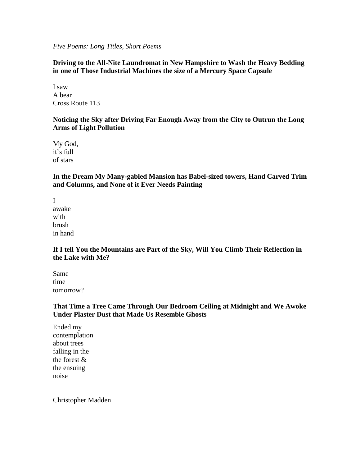*Five Poems: Long Titles, Short Poems*

#### **Driving to the All-Nite Laundromat in New Hampshire to Wash the Heavy Bedding in one of Those Industrial Machines the size of a Mercury Space Capsule**

I saw A bear Cross Route 113

#### **Noticing the Sky after Driving Far Enough Away from the City to Outrun the Long Arms of Light Pollution**

My God, it's full of stars

**In the Dream My Many-gabled Mansion has Babel-sized towers, Hand Carved Trim and Columns, and None of it Ever Needs Painting**

I awake with brush in hand

#### **If I tell You the Mountains are Part of the Sky, Will You Climb Their Reflection in the Lake with Me?**

Same time tomorrow?

#### **That Time a Tree Came Through Our Bedroom Ceiling at Midnight and We Awoke Under Plaster Dust that Made Us Resemble Ghosts**

Ended my contemplation about trees falling in the the forest & the ensuing noise

Christopher Madden